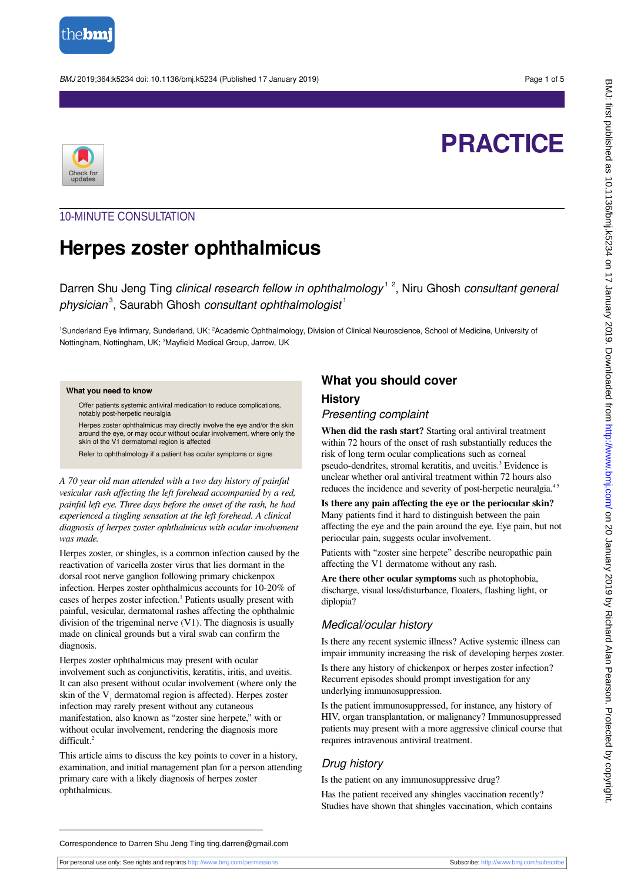

BMJ 2019;364:k5234 doi: 10.1136/bmj.k5234 (Published 17 January 2019) each of 5



# **PRACTICE**

# 10-MINUTE CONSULTATION

# **Herpes zoster ophthalmicus**

Darren Shu Jeng Ting clinical research fellow in ophthalmology<sup>12</sup>, Niru Ghosh consultant general physician<sup>3</sup>, Saurabh Ghosh consultant ophthalmologist<sup>1</sup>

<sup>1</sup>Sunderland Eye Infirmary, Sunderland, UK; <sup>2</sup>Academic Ophthalmology, Division of Clinical Neuroscience, School of Medicine, University of Nottingham, Nottingham, UK; <sup>3</sup>Mayfield Medical Group, Jarrow, UK

#### **What you need to know**

Offer patients systemic antiviral medication to reduce complications, notably post-herpetic neuralgia

Herpes zoster ophthalmicus may directly involve the eye and/or the skin around the eye, or may occur without ocular involvement, where only the skin of the V1 dermatomal region is affected

Refer to ophthalmology if a patient has ocular symptoms or signs

*A 70 year old man attended with a two day history of painful vesicular rash affecting the left forehead accompanied by a red, painful left eye. Three days before the onset of the rash, he had experienced a tingling sensation at the left forehead. A clinical diagnosis of herpes zoster ophthalmicus with ocular involvement was made.*

Herpes zoster, or shingles, is a common infection caused by the reactivation of varicella zoster virus that lies dormant in the dorsal root nerve ganglion following primary chickenpox infection. Herpes zoster ophthalmicus accounts for 10-20% of cases of herpes zoster infection.<sup>1</sup> Patients usually present with painful, vesicular, dermatomal rashes affecting the ophthalmic division of the trigeminal nerve (V1). The diagnosis is usually made on clinical grounds but a viral swab can confirm the diagnosis.

Herpes zoster ophthalmicus may present with ocular involvement such as conjunctivitis, keratitis, iritis, and uveitis. It can also present without ocular involvement (where only the skin of the  $V<sub>1</sub>$  dermatomal region is affected). Herpes zoster infection may rarely present without any cutaneous manifestation, also known as "zoster sine herpete," with or without ocular involvement, rendering the diagnosis more difficult.<sup>2</sup>

This article aims to discuss the key points to cover in a history, examination, and initial management plan for a person attending primary care with a likely diagnosis of herpes zoster ophthalmicus.

## **What you should cover History**

Presenting complaint

**When did the rash start?** Starting oral antiviral treatment within 72 hours of the onset of rash substantially reduces the risk of long term ocular complications such as corneal pseudo-dendrites, stromal keratitis, and uveitis.<sup>3</sup> Evidence is unclear whether oral antiviral treatment within 72 hours also reduces the incidence and severity of post-herpetic neuralgia.<sup>45</sup>

**Is there any pain affecting the eye or the periocular skin?** Many patients find it hard to distinguish between the pain affecting the eye and the pain around the eye. Eye pain, but not periocular pain, suggests ocular involvement.

Patients with "zoster sine herpete" describe neuropathic pain affecting the V1 dermatome without any rash.

**Are there other ocular symptoms** such as photophobia, discharge, visual loss/disturbance, floaters, flashing light, or diplopia?

#### Medical/ocular history

Is there any recent systemic illness? Active systemic illness can impair immunity increasing the risk of developing herpes zoster. Is there any history of chickenpox or herpes zoster infection? Recurrent episodes should prompt investigation for any underlying immunosuppression.

Is the patient immunosuppressed, for instance, any history of HIV, organ transplantation, or malignancy? Immunosuppressed patients may present with a more aggressive clinical course that requires intravenous antiviral treatment.

#### Drug history

Is the patient on any immunosuppressive drug?

Has the patient received any shingles vaccination recently? Studies have shown that shingles vaccination, which contains

Correspondence to Darren Shu Jeng Ting ting.darren@gmail.com

For personal use only: See rights and reprints<http://www.bmj.com/permissions> Subscribe: <http://www.bmj.com/subscribe>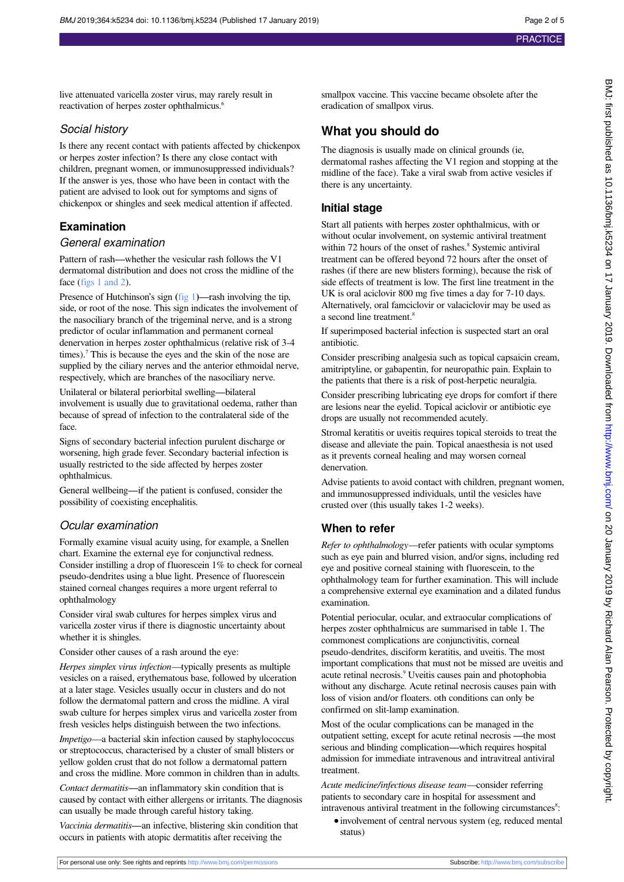live attenuated varicella zoster virus, may rarely result in

reactivation of herpes zoster ophthalmicus.<sup>6</sup>

Social history Is there any recent contact with patients affected by chickenpox or herpes zoster infection? Is there any close contact with children, pregnant women, or immunosuppressed individuals? If the answer is yes, those who have been in contact with the patient are advised to look out for symptoms and signs of chickenpox or shingles and seek medical attention if affected. **Examination** General examination Pattern of rash—whether the vesicular rash follows the V1 dermatomal distribution and does not cross the midline of the face [\(figs 1 and 2\)](#page-4-0). Presence of Hutchinson's sign ([fig 1](#page-4-0))—rash involving the tip, side, or root of the nose. This sign indicates the involvement of the nasociliary branch of the trigeminal nerve, and is a strong predictor of ocular inflammation and permanent corneal denervation in herpes zoster ophthalmicus (relative risk of 3-4

times).<sup>7</sup> This is because the eyes and the skin of the nose are supplied by the ciliary nerves and the anterior ethmoidal nerve, respectively, which are branches of the nasociliary nerve.

Unilateral or bilateral periorbital swelling—bilateral involvement is usually due to gravitational oedema, rather than because of spread of infection to the contralateral side of the face.

Signs of secondary bacterial infection purulent discharge or worsening, high grade fever. Secondary bacterial infection is usually restricted to the side affected by herpes zoster ophthalmicus.

General wellbeing—if the patient is confused, consider the possibility of coexisting encephalitis.

#### Ocular examination

Formally examine visual acuity using, for example, a Snellen chart. Examine the external eye for conjunctival redness. Consider instilling a drop of fluorescein 1% to check for corneal pseudo-dendrites using a blue light. Presence of fluorescein stained corneal changes requires a more urgent referral to ophthalmology

Consider viral swab cultures for herpes simplex virus and varicella zoster virus if there is diagnostic uncertainty about whether it is shingles.

Consider other causes of a rash around the eye:

*Herpes simplex virus infection—*typically presents as multiple vesicles on a raised, erythematous base, followed by ulceration at a later stage. Vesicles usually occur in clusters and do not follow the dermatomal pattern and cross the midline. A viral swab culture for herpes simplex virus and varicella zoster from fresh vesicles helps distinguish between the two infections.

*Impetigo—*a bacterial skin infection caused by staphylococcus or streptococcus, characterised by a cluster of small blisters or yellow golden crust that do not follow a dermatomal pattern and cross the midline. More common in children than in adults.

*Contact dermatitis*—an inflammatory skin condition that is caused by contact with either allergens or irritants. The diagnosis can usually be made through careful history taking.

*Vaccinia dermatitis*—an infective, blistering skin condition that occurs in patients with atopic dermatitis after receiving the

smallpox vaccine. This vaccine became obsolete after the eradication of smallpox virus.

### **What you should do**

The diagnosis is usually made on clinical grounds (ie, dermatomal rashes affecting the V1 region and stopping at the midline of the face). Take a viral swab from active vesicles if there is any uncertainty.

#### **Initial stage**

Start all patients with herpes zoster ophthalmicus, with or without ocular involvement, on systemic antiviral treatment within 72 hours of the onset of rashes.<sup>8</sup> Systemic antiviral treatment can be offered beyond 72 hours after the onset of rashes (if there are new blisters forming), because the risk of side effects of treatment is low. The first line treatment in the UK is oral aciclovir 800 mg five times a day for 7-10 days. Alternatively, oral famciclovir or valaciclovir may be used as a second line treatment.<sup>8</sup>

If superimposed bacterial infection is suspected start an oral antibiotic.

Consider prescribing analgesia such as topical capsaicin cream, amitriptyline, or gabapentin, for neuropathic pain. Explain to the patients that there is a risk of post-herpetic neuralgia.

Consider prescribing lubricating eye drops for comfort if there are lesions near the eyelid. Topical aciclovir or antibiotic eye drops are usually not recommended acutely.

Stromal keratitis or uveitis requires topical steroids to treat the disease and alleviate the pain. Topical anaesthesia is not used as it prevents corneal healing and may worsen corneal denervation.

Advise patients to avoid contact with children, pregnant women, and immunosuppressed individuals, until the vesicles have crusted over (this usually takes 1-2 weeks).

#### **When to refer**

*Refer to ophthalmology—*refer patients with ocular symptoms such as eye pain and blurred vision, and/or signs, including red eye and positive corneal staining with fluorescein, to the ophthalmology team for further examination. This will include a comprehensive external eye examination and a dilated fundus examination.

Potential periocular, ocular, and extraocular complications of herpes zoster ophthalmicus are summarised in table 1. The commonest complications are conjunctivitis, corneal pseudo-dendrites, disciform keratitis, and uveitis. The most important complications that must not be missed are uveitis and acute retinal necrosis.<sup>9</sup> Uveitis causes pain and photophobia without any discharge. Acute retinal necrosis causes pain with loss of vision and/or floaters. oth conditions can only be confirmed on slit-lamp examination.

Most of the ocular complications can be managed in the outpatient setting, except for acute retinal necrosis —the most serious and blinding complication—which requires hospital admission for immediate intravenous and intravitreal antiviral treatment.

*Acute medicine/infectious disease team—*consider referring patients to secondary care in hospital for assessment and intravenous antiviral treatment in the following circumstances<sup>8</sup>:

**•**involvement of central nervous system (eg, reduced mental status)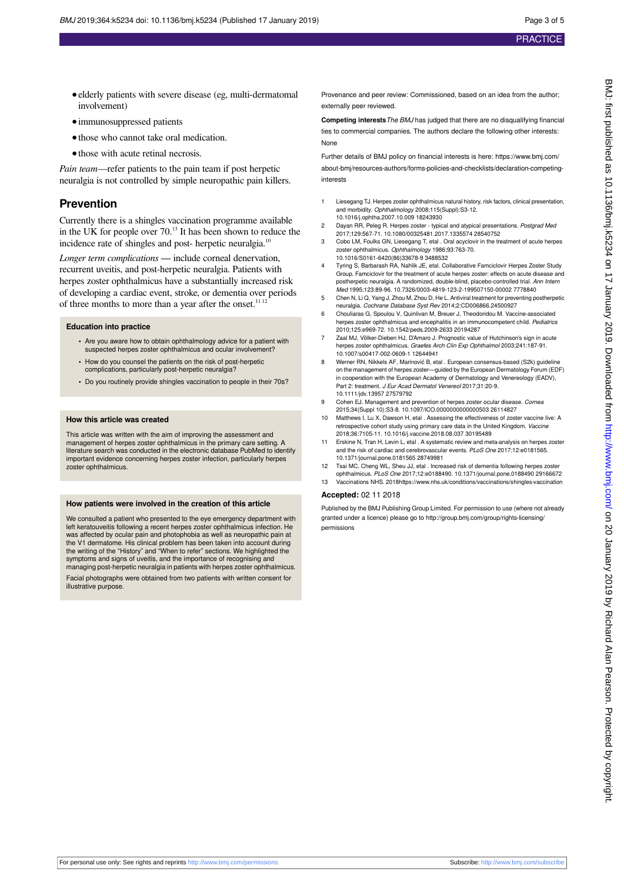- elderly patients with severe disease (eg, multi-dermatomal involvement)
- **•**immunosuppressed patients
- **•**those who cannot take oral medication.
- **•**those with acute retinal necrosis.

*Pain team—*refer patients to the pain team if post herpetic neuralgia is not controlled by simple neuropathic pain killers.

#### **Prevention**

Currently there is a shingles vaccination programme available in the UK for people over 70.<sup>13</sup> It has been shown to reduce the incidence rate of shingles and post- herpetic neuralgia.<sup>10</sup>

*Longer term complications* — include corneal denervation, recurrent uveitis, and post-herpetic neuralgia. Patients with herpes zoster ophthalmicus have a substantially increased risk of developing a cardiac event, stroke, or dementia over periods of three months to more than a year after the onset.<sup>11 12</sup>

#### **Education into practice**

- **•** Are you aware how to obtain ophthalmology advice for a patient with suspected herpes zoster ophthalmicus and ocular involvement?
- **•** How do you counsel the patients on the risk of post-herpetic complications, particularly post-herpetic neuralgia?
- **•** Do you routinely provide shingles vaccination to people in their 70s?

#### **How this article was created**

This article was written with the aim of improving the assessment and management of herpes zoster ophthalmicus in the primary care setting. A literature search was conducted in the electronic database PubMed to identify important evidence concerning herpes zoster infection, particularly herpes zoster ophthalmicus.

#### **How patients were involved in the creation of this article**

We consulted a patient who presented to the eye emergency department with left keratouveitis following a recent herpes zoster ophthalmicus infection. He was affected by ocular pain and photophobia as well as neuropathic pain at the V1 dermatome. His clinical problem has been taken into account during the writing of the "History" and "When to refer" sections. We highlighted the symptoms and signs of uveitis, and the importance of recognising and managing post-herpetic neuralgia in patients with herpes zoster ophthalmicus. Facial photographs were obtained from two patients with written consent for

illustrative purpose.

Provenance and peer review: Commissioned, based on an idea from the author; externally peer reviewed.

**Competing interests**The BMJ has judged that there are no disqualifying financial ties to commercial companies. The authors declare the following other interests: None

Further details of BMJ policy on financial interests is here: https://www.bmj.com/ about-bmj/resources-authors/forms-policies-and-checklists/declaration-competinginterests

- 1 Liesegang TJ. Herpes zoster ophthalmicus natural history, risk factors, clinical presentation, and morbidity. Ophthalmology 2008;115(Suppl):S3-12. 10.1016/j.ophtha.2007.10.009 18243930
- 2 Dayan RR, Peleg R. Herpes zoster typical and atypical presentations. Postgrad Med 2017;129:567-71. 10.1080/00325481.2017.1335574 28540752
- 3 Cobo LM, Foulks GN, Liesegang T, etal . Oral acyclovir in the treatment of acute herpes zoster ophthalmicus. Ophthalmology 1986;93:763-70. 10.1016/S0161-6420(86)33678-9 3488532
- 4 Tyring S, Barbarash RA, Nahlik JE, etal. Collaborative Famciclovir Herpes Zoster Study Group. Famciclovir for the treatment of acute herpes zoster: effects on acute disease and postherpetic neuralgia. A randomized, double-blind, placebo-controlled trial. Ann Intern Med 1995;123:89-96. 10.7326/0003-4819-123-2-199507150-00002 7778840
- 5 Chen N, Li Q, Yang J, Zhou M, Zhou D, He L. Antiviral treatment for preventing postherpetic neuralgia. Cochrane Database Syst Rev 2014;2:CD006866.24500927
- 6 Chouliaras G, Spoulou V, Quinlivan M, Breuer J, Theodoridou M. Vaccine-associated herpes zoster ophthalmicus and encephalitis in an immunocompetent child. Pediatrics 2010;125:e969-72. 10.1542/peds.2009-2633 20194287
- 7 Zaal MJ, Völker-Dieben HJ, D'Amaro J. Prognostic value of Hutchinson's sign in acute herpes zoster ophthalmicus. Graefes Arch Clin Exp Ophthalmol 2003;241:187-91. 10.1007/s00417-002-0609-1 12644941
- 8 Werner RN, Nikkels AF, Marinović B, etal . European consensus-based (S2k) guideline on the management of herpes zoster—guided by the European Dermatology Forum (EDF) in cooperation with the European Academy of Dermatology and Venereology (EADV), Part 2: treatment. J Eur Acad Dermatol Venereol 2017;31:20-9. 10.1111/jdv.13957 27579792
- 9 Cohen EJ. Management and prevention of herpes zoster ocular disease. Cornea 2015;34(Suppl 10):S3-8. 10.1097/ICO.0000000000000503 26114827
- 10 Matthews I, Lu X, Dawson H, etal . Assessing the effectiveness of zoster vaccine live: A retrospective cohort study using primary care data in the United Kingdom. Vaccine 2018;36:7105-11. 10.1016/j.vaccine.2018.08.037 30195489
- 11 Erskine N, Tran H, Levin L, etal . A systematic review and meta-analysis on herpes zoster and the risk of cardiac and cerebrovascular events. PLoS One 2017;12:e0181565. 10.1371/journal.pone.0181565 28749981
- 12 Tsai MC, Cheng WL, Sheu JJ, etal . Increased risk of dementia following herpes zoster ophthalmicus. PLoS One 2017;12:e0188490. 10.1371/journal.pone.0188490 29166672
- 13 Vaccinations NHS. 2018https://www.nhs.uk/conditions/vaccinations/shingles-vaccination

#### **Accepted:** 02 11 2018

Published by the BMJ Publishing Group Limited. For permission to use (where not already granted under a licence) please go to [http://group.bmj.com/group/rights-licensing/](http://group.bmj.com/group/rights-licensing/permissions) [permissions](http://group.bmj.com/group/rights-licensing/permissions)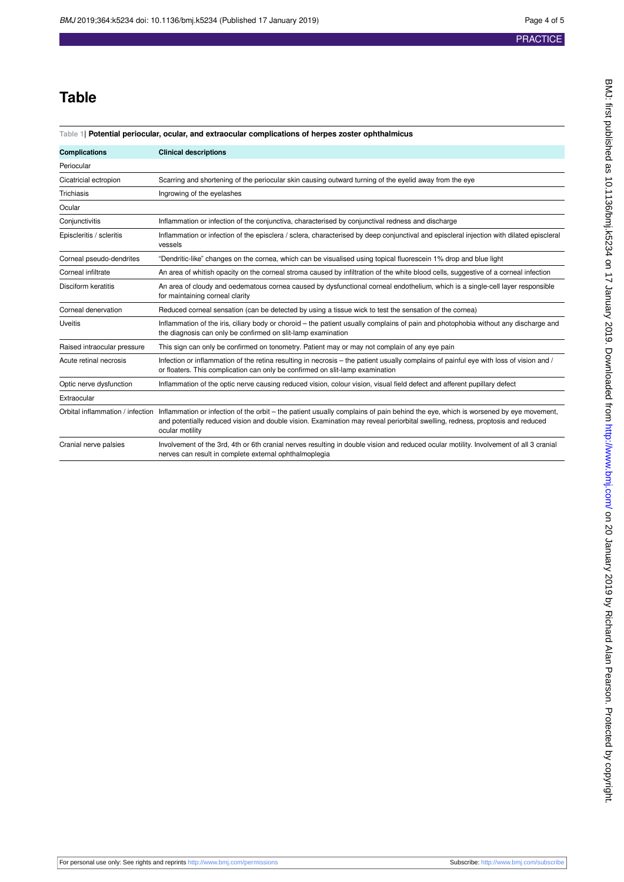# **Table**

#### **Table 1| Potential periocular, ocular, and extraocular complications of herpes zoster ophthalmicus**

| <b>Complications</b>             | <b>Clinical descriptions</b>                                                                                                                                                                                                                                                          |
|----------------------------------|---------------------------------------------------------------------------------------------------------------------------------------------------------------------------------------------------------------------------------------------------------------------------------------|
| Periocular                       |                                                                                                                                                                                                                                                                                       |
| Cicatricial ectropion            | Scarring and shortening of the periocular skin causing outward turning of the eyelid away from the eye                                                                                                                                                                                |
| Trichiasis                       | Ingrowing of the eyelashes                                                                                                                                                                                                                                                            |
| Ocular                           |                                                                                                                                                                                                                                                                                       |
| Conjunctivitis                   | Inflammation or infection of the conjunctiva, characterised by conjunctival redness and discharge                                                                                                                                                                                     |
| Episcleritis / scleritis         | Inflammation or infection of the episclera / sclera, characterised by deep conjunctival and episcleral injection with dilated episcleral<br>vessels                                                                                                                                   |
| Corneal pseudo-dendrites         | "Dendritic-like" changes on the cornea, which can be visualised using topical fluorescein 1% drop and blue light                                                                                                                                                                      |
| Corneal infiltrate               | An area of whitish opacity on the corneal stroma caused by infiltration of the white blood cells, suggestive of a corneal infection                                                                                                                                                   |
| Disciform keratitis              | An area of cloudy and oedematous cornea caused by dysfunctional corneal endothelium, which is a single-cell layer responsible<br>for maintaining corneal clarity                                                                                                                      |
| Corneal denervation              | Reduced corneal sensation (can be detected by using a tissue wick to test the sensation of the cornea)                                                                                                                                                                                |
| <b>Uveitis</b>                   | Inflammation of the iris, ciliary body or choroid – the patient usually complains of pain and photophobia without any discharge and<br>the diagnosis can only be confirmed on slit-lamp examination                                                                                   |
| Raised intraocular pressure      | This sign can only be confirmed on tonometry. Patient may or may not complain of any eye pain                                                                                                                                                                                         |
| Acute retinal necrosis           | Infection or inflammation of the retina resulting in necrosis – the patient usually complains of painful eye with loss of vision and /<br>or floaters. This complication can only be confirmed on slit-lamp examination                                                               |
| Optic nerve dysfunction          | Inflammation of the optic nerve causing reduced vision, colour vision, visual field defect and afferent pupillary defect                                                                                                                                                              |
| Extraocular                      |                                                                                                                                                                                                                                                                                       |
| Orbital inflammation / infection | Inflammation or infection of the orbit – the patient usually complains of pain behind the eye, which is worsened by eye movement,<br>and potentially reduced vision and double vision. Examination may reveal periorbital swelling, redness, proptosis and reduced<br>ocular motility |
| Cranial nerve palsies            | Involvement of the 3rd, 4th or 6th cranial nerves resulting in double vision and reduced ocular motility. Involvement of all 3 cranial<br>nerves can result in complete external ophthalmoplegia                                                                                      |